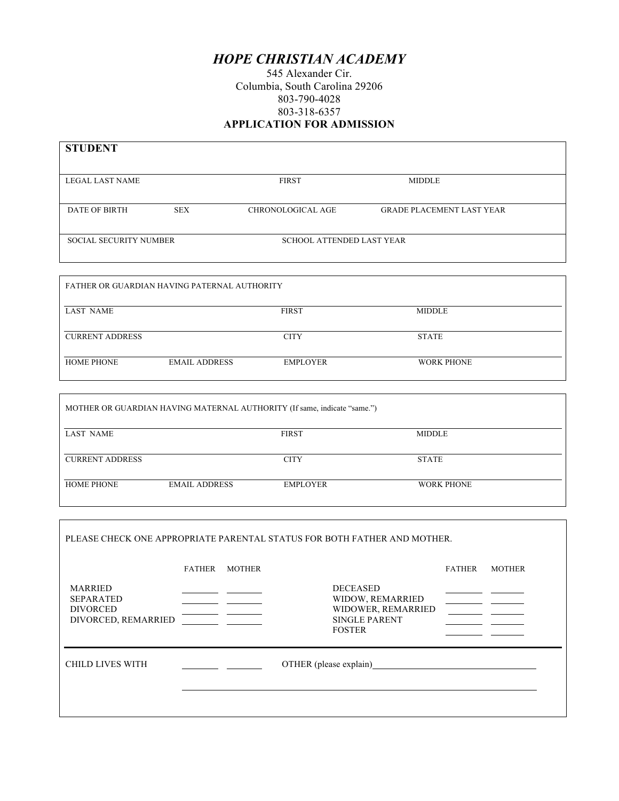## *HOPE CHRISTIAN ACADEMY*

545 Alexander Cir. Columbia, South Carolina 29206 803-790-4028 803-318-6357 **APPLICATION FOR ADMISSION**

| <b>STUDENT</b>                               |            |                                  |                                  |
|----------------------------------------------|------------|----------------------------------|----------------------------------|
| <b>LEGAL LAST NAME</b>                       |            | <b>FIRST</b>                     | <b>MIDDLE</b>                    |
| <b>DATE OF BIRTH</b>                         | <b>SEX</b> | <b>CHRONOLOGICAL AGE</b>         | <b>GRADE PLACEMENT LAST YEAR</b> |
| <b>SOCIAL SECURITY NUMBER</b>                |            | <b>SCHOOL ATTENDED LAST YEAR</b> |                                  |
|                                              |            |                                  |                                  |
| FATHER OR GUARDIAN HAVING PATERNAL AUTHORITY |            |                                  |                                  |

| LAST NAME              |                      | <b>FIRST</b>    | <b>MIDDLE</b>     |  |
|------------------------|----------------------|-----------------|-------------------|--|
| <b>CURRENT ADDRESS</b> |                      | <b>CITY</b>     | <b>STATE</b>      |  |
| <b>HOME PHONE</b>      | <b>EMAIL ADDRESS</b> | <b>EMPLOYER</b> | <b>WORK PHONE</b> |  |

|                        |                      | MOTHER OR GUARDIAN HAVING MATERNAL AUTHORITY (If same, indicate "same.") |                   |  |
|------------------------|----------------------|--------------------------------------------------------------------------|-------------------|--|
| <b>LAST NAME</b>       |                      | <b>FIRST</b>                                                             | <b>MIDDLE</b>     |  |
| <b>CURRENT ADDRESS</b> |                      | <b>CITY</b>                                                              | <b>STATE</b>      |  |
| <b>HOME PHONE</b>      | <b>EMAIL ADDRESS</b> | EMPLOYER                                                                 | <b>WORK PHONE</b> |  |

|                                                                              |               |               | PLEASE CHECK ONE APPROPRIATE PARENTAL STATUS FOR BOTH FATHER AND MOTHER.                           |               |               |
|------------------------------------------------------------------------------|---------------|---------------|----------------------------------------------------------------------------------------------------|---------------|---------------|
|                                                                              | <b>FATHER</b> | <b>MOTHER</b> |                                                                                                    | <b>FATHER</b> | <b>MOTHER</b> |
| <b>MARRIED</b><br><b>SEPARATED</b><br><b>DIVORCED</b><br>DIVORCED, REMARRIED |               |               | <b>DECEASED</b><br>WIDOW, REMARRIED<br>WIDOWER, REMARRIED<br><b>SINGLE PARENT</b><br><b>FOSTER</b> |               |               |
| <b>CHILD LIVES WITH</b>                                                      |               |               | OTHER (please explain)                                                                             |               |               |
|                                                                              |               |               |                                                                                                    |               |               |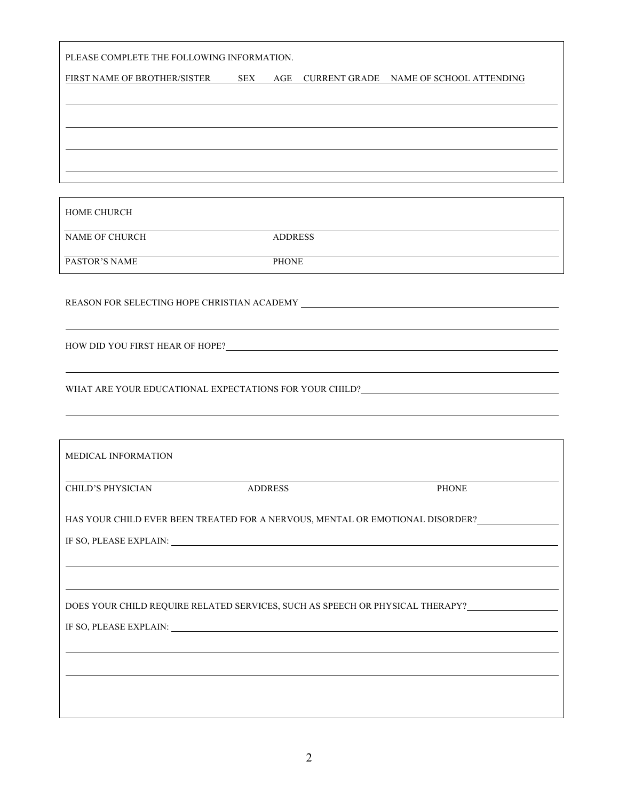| PLEASE COMPLETE THE FOLLOWING INFORMATION.                                                                                                                                                                                     |                |                |       |
|--------------------------------------------------------------------------------------------------------------------------------------------------------------------------------------------------------------------------------|----------------|----------------|-------|
| FIRST NAME OF BROTHER/SISTER SEX AGE CURRENT GRADE NAME OF SCHOOL ATTENDING                                                                                                                                                    |                |                |       |
|                                                                                                                                                                                                                                |                |                |       |
|                                                                                                                                                                                                                                |                |                |       |
|                                                                                                                                                                                                                                |                |                |       |
| <b>HOME CHURCH</b>                                                                                                                                                                                                             |                |                |       |
| NAME OF CHURCH                                                                                                                                                                                                                 |                | <b>ADDRESS</b> |       |
| PASTOR'S NAME                                                                                                                                                                                                                  |                | <b>PHONE</b>   |       |
|                                                                                                                                                                                                                                |                |                |       |
|                                                                                                                                                                                                                                |                |                |       |
| WHAT ARE YOUR EDUCATIONAL EXPECTATIONS FOR YOUR CHILD?___________________________                                                                                                                                              |                |                |       |
| MEDICAL INFORMATION                                                                                                                                                                                                            |                |                |       |
| CHILD'S PHYSICIAN                                                                                                                                                                                                              | <b>ADDRESS</b> |                | PHONE |
| HAS YOUR CHILD EVER BEEN TREATED FOR A NERVOUS, MENTAL OR EMOTIONAL DISORDER?                                                                                                                                                  |                |                |       |
| IF SO, PLEASE EXPLAIN: University of the set of the set of the set of the set of the set of the set of the set of the set of the set of the set of the set of the set of the set of the set of the set of the set of the set o |                |                |       |
|                                                                                                                                                                                                                                |                |                |       |
| DOES YOUR CHILD REQUIRE RELATED SERVICES, SUCH AS SPEECH OR PHYSICAL THERAPY?_______________________                                                                                                                           |                |                |       |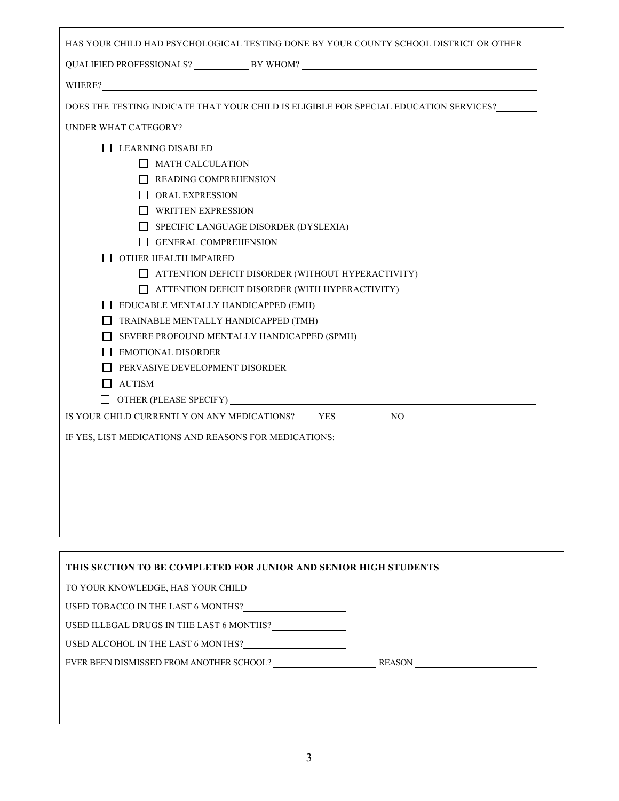| HAS YOUR CHILD HAD PSYCHOLOGICAL TESTING DONE BY YOUR COUNTY SCHOOL DISTRICT OR OTHER                                                                                                                                          |  |
|--------------------------------------------------------------------------------------------------------------------------------------------------------------------------------------------------------------------------------|--|
|                                                                                                                                                                                                                                |  |
| WHERE? NET AND THE CONSTRUCTION OF THE CONSTRUCTION OF THE CONSTRUCTION OF THE CONSTRUCTION OF THE CONSTRUCTION OF THE CONSTRUCTION OF THE CONSTRUCTION OF THE CONSTRUCTION OF THE CONSTRUCTION OF THE CONSTRUCTION OF THE CON |  |
| DOES THE TESTING INDICATE THAT YOUR CHILD IS ELIGIBLE FOR SPECIAL EDUCATION SERVICES?                                                                                                                                          |  |
| <b>UNDER WHAT CATEGORY?</b>                                                                                                                                                                                                    |  |
| <b>LEARNING DISABLED</b>                                                                                                                                                                                                       |  |
| $\Box$ MATH CALCULATION                                                                                                                                                                                                        |  |
| READING COMPREHENSION                                                                                                                                                                                                          |  |
| $\Box$ ORAL EXPRESSION                                                                                                                                                                                                         |  |
| WRITTEN EXPRESSION                                                                                                                                                                                                             |  |
| $\Box$ SPECIFIC LANGUAGE DISORDER (DYSLEXIA)                                                                                                                                                                                   |  |
| $\Box$ GENERAL COMPREHENSION                                                                                                                                                                                                   |  |
| OTHER HEALTH IMPAIRED                                                                                                                                                                                                          |  |
| $\Box$ ATTENTION DEFICIT DISORDER (WITHOUT HYPERACTIVITY)                                                                                                                                                                      |  |
| $\Box$ ATTENTION DEFICIT DISORDER (WITH HYPERACTIVITY)                                                                                                                                                                         |  |
| $\Box$ EDUCABLE MENTALLY HANDICAPPED (EMH)                                                                                                                                                                                     |  |
| $\Box$ TRAINABLE MENTALLY HANDICAPPED (TMH)                                                                                                                                                                                    |  |
| $\Box$ SEVERE PROFOUND MENTALLY HANDICAPPED (SPMH)                                                                                                                                                                             |  |
| EMOTIONAL DISORDER                                                                                                                                                                                                             |  |
| PERVASIVE DEVELOPMENT DISORDER<br>$\Box$ AUTISM                                                                                                                                                                                |  |
|                                                                                                                                                                                                                                |  |
| YES NO<br>IS YOUR CHILD CURRENTLY ON ANY MEDICATIONS?                                                                                                                                                                          |  |
|                                                                                                                                                                                                                                |  |
| IF YES, LIST MEDICATIONS AND REASONS FOR MEDICATIONS:                                                                                                                                                                          |  |
|                                                                                                                                                                                                                                |  |
|                                                                                                                                                                                                                                |  |
|                                                                                                                                                                                                                                |  |
|                                                                                                                                                                                                                                |  |
|                                                                                                                                                                                                                                |  |
|                                                                                                                                                                                                                                |  |
| THIS SECTION TO BE COMPLETED FOR JUNIOR AND SENIOR HIGH STUDENTS                                                                                                                                                               |  |
| TO YOUR KNOWLEDGE, HAS YOUR CHILD                                                                                                                                                                                              |  |
| USED TOBACCO IN THE LAST 6 MONTHS?                                                                                                                                                                                             |  |

| USED ILLEGAL DRUGS IN THE LAST 6 MONTHS? |  |
|------------------------------------------|--|
|                                          |  |

USED ALCOHOL IN THE LAST 6 MONTHS?

EVER BEEN DISMISSED FROM ANOTHER SCHOOL? REASON